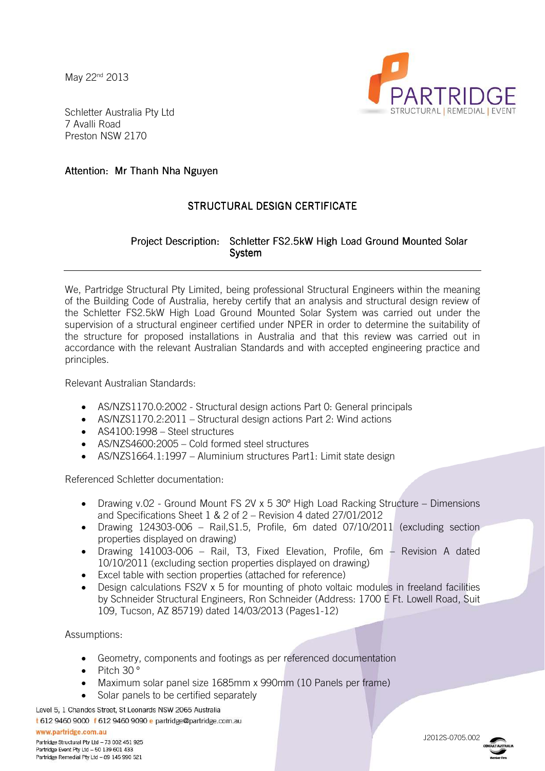May 22<sup>nd</sup> 2013



Schletter Australia Pty Ltd 7 Avalli Road Preston NSW 2170

## Attention: Mr Thanh Nha Nguyen

## STRUCTURAL DESIGN CERTIFICATE

## Project Description: Schletter FS2.5kW High Load Ground Mounted Solar System

We, Partridge Structural Pty Limited, being professional Structural Engineers within the meaning of the Building Code of Australia, hereby certify that an analysis and structural design review of the Schletter FS2.5kW High Load Ground Mounted Solar System was carried out under the supervision of a structural engineer certified under NPER in order to determine the suitability of the structure for proposed installations in Australia and that this review was carried out in accordance with the relevant Australian Standards and with accepted engineering practice and principles.

Relevant Australian Standards:

- AS/NZS1170.0:2002 Structural design actions Part 0: General principals
- AS/NZS1170.2:2011 Structural design actions Part 2: Wind actions
- AS4100:1998 Steel structures
- AS/NZS4600:2005 Cold formed steel structures
- AS/NZS1664.1:1997 Aluminium structures Part1: Limit state design

Referenced Schletter documentation:

- Drawing v.02 Ground Mount FS 2V x 5 30° High Load Racking Structure Dimensions and Specifications Sheet 1 & 2 of 2 – Revision 4 dated 27/01/2012
- Drawing 124303-006 Rail,S1.5, Profile, 6m dated 07/10/2011 (excluding section properties displayed on drawing)
- Drawing 141003-006 Rail, T3, Fixed Elevation, Profile, 6m Revision A dated 10/10/2011 (excluding section properties displayed on drawing)
- Excel table with section properties (attached for reference)
- Design calculations FS2V x 5 for mounting of photo voltaic modules in freeland facilities by Schneider Structural Engineers, Ron Schneider (Address: 1700 E Ft. Lowell Road, Suit 109, Tucson, AZ 85719) dated 14/03/2013 (Pages1-12)

Assumptions:

- Geometry, components and footings as per referenced documentation
- Pitch 30<sup>°</sup>
- Maximum solar panel size 1685mm x 990mm (10 Panels per frame)
- Solar panels to be certified separately
- Level 5, 1 Chandos Street, St Leonards NSW 2065 Australia

t 612 9460 9000 f 612 9460 9090 e partridge@partridge.com.au

www.partridge.com.au

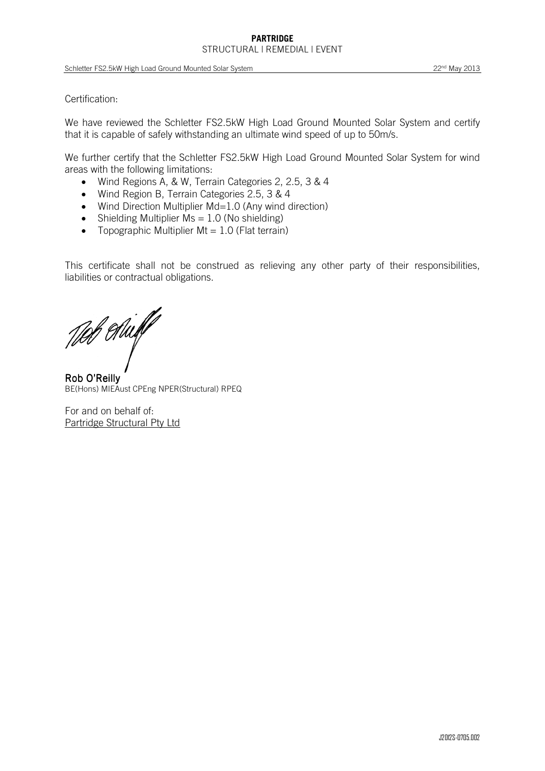Schletter FS2.5kW High Load Ground Mounted Solar System 22nd May 2013

Certification:

We have reviewed the Schletter FS2.5kW High Load Ground Mounted Solar System and certify that it is capable of safely withstanding an ultimate wind speed of up to 50m/s.

We further certify that the Schletter FS2.5kW High Load Ground Mounted Solar System for wind areas with the following limitations:

- Wind Regions A, & W, Terrain Categories 2, 2.5, 3 & 4
- Wind Region B, Terrain Categories 2.5, 3 & 4
- Wind Direction Multiplier Md=1.0 (Any wind direction)
- Shielding Multiplier  $Ms = 1.0$  (No shielding)
- Topographic Multiplier Mt =  $1.0$  (Flat terrain)

This certificate shall not be construed as relieving any other party of their responsibilities, liabilities or contractual obligations.

Tel Aluff

Rob O'Reilly BE(Hons) MIEAust CPEng NPER(Structural) RPEQ

For and on behalf of: Partridge Structural Pty Ltd